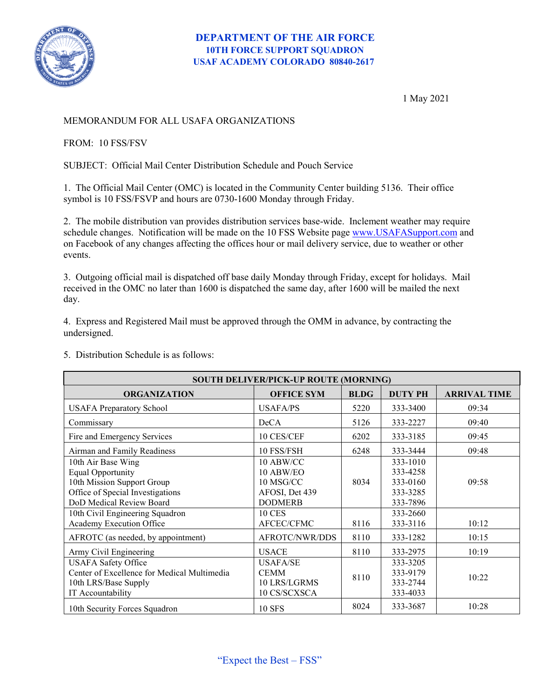

1 May 2021

## MEMORANDUM FOR ALL USAFA ORGANIZATIONS

## FROM: 10 FSS/FSV

SUBJECT: Official Mail Center Distribution Schedule and Pouch Service

1. The Official Mail Center (OMC) is located in the Community Center building 5136. Their office symbol is 10 FSS/FSVP and hours are 0730-1600 Monday through Friday.

2. The mobile distribution van provides distribution services base-wide. Inclement weather may require schedule changes. Notification will be made on the 10 FSS Website page [www.USAFASupport.com](http://www.usafasupport.com/) and on Facebook of any changes affecting the offices hour or mail delivery service, due to weather or other events.

3. Outgoing official mail is dispatched off base daily Monday through Friday, except for holidays. Mail received in the OMC no later than 1600 is dispatched the same day, after 1600 will be mailed the next day.

4. Express and Registered Mail must be approved through the OMM in advance, by contracting the undersigned.

5. Distribution Schedule is as follows:

| SOUTH DELIVER/PICK-UP ROUTE (MORNING)                                                                                                        |                                                                         |             |                                                          |                     |
|----------------------------------------------------------------------------------------------------------------------------------------------|-------------------------------------------------------------------------|-------------|----------------------------------------------------------|---------------------|
| <b>ORGANIZATION</b>                                                                                                                          | <b>OFFICE SYM</b>                                                       | <b>BLDG</b> | <b>DUTY PH</b>                                           | <b>ARRIVAL TIME</b> |
| <b>USAFA Preparatory School</b>                                                                                                              | USAFA/PS                                                                | 5220        | 333-3400                                                 | 09:34               |
| Commissary                                                                                                                                   | DeCA                                                                    | 5126        | 333-2227                                                 | 09:40               |
| Fire and Emergency Services                                                                                                                  | 10 CES/CEF                                                              | 6202        | 333-3185                                                 | 09:45               |
| Airman and Family Readiness                                                                                                                  | 10 FSS/FSH                                                              | 6248        | 333-3444                                                 | 09:48               |
| 10th Air Base Wing<br><b>Equal Opportunity</b><br>10th Mission Support Group<br>Office of Special Investigations<br>DoD Medical Review Board | 10 ABW/CC<br>10 ABW/EO<br>10 MSG/CC<br>AFOSI, Det 439<br><b>DODMERB</b> | 8034        | 333-1010<br>333-4258<br>333-0160<br>333-3285<br>333-7896 | 09:58               |
| 10th Civil Engineering Squadron<br>Academy Execution Office                                                                                  | <b>10 CES</b><br>AFCEC/CFMC                                             | 8116        | 333-2660<br>333-3116                                     | 10:12               |
| AFROTC (as needed, by appointment)                                                                                                           | AFROTC/NWR/DDS                                                          | 8110        | 333-1282                                                 | 10:15               |
| Army Civil Engineering                                                                                                                       | <b>USACE</b>                                                            | 8110        | 333-2975                                                 | 10:19               |
| <b>USAFA Safety Office</b><br>Center of Excellence for Medical Multimedia<br>10th LRS/Base Supply<br>IT Accountability                       | USAFA/SE<br><b>CEMM</b><br>10 LRS/LGRMS<br>10 CS/SCXSCA                 | 8110        | 333-3205<br>333-9179<br>333-2744<br>333-4033             | 10:22               |
| 10th Security Forces Squadron                                                                                                                | <b>10 SFS</b>                                                           | 8024        | 333-3687                                                 | 10:28               |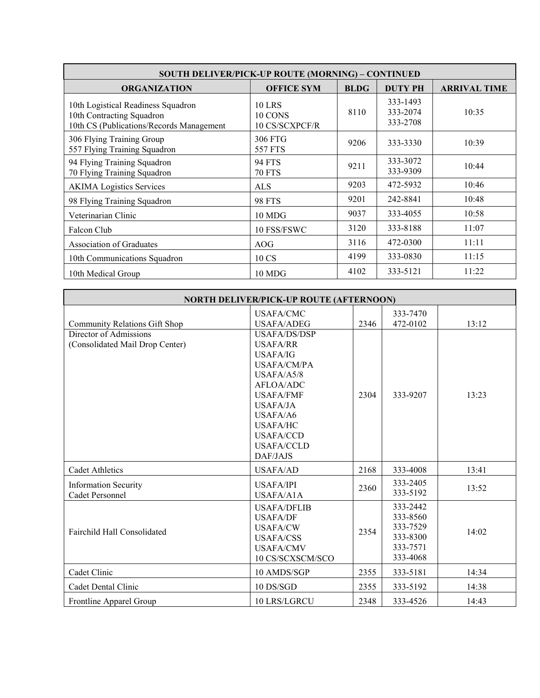| <b>SOUTH DELIVER/PICK-UP ROUTE (MORNING) - CONTINUED</b>                                                    |                                            |             |                                  |                     |  |
|-------------------------------------------------------------------------------------------------------------|--------------------------------------------|-------------|----------------------------------|---------------------|--|
| <b>ORGANIZATION</b>                                                                                         | <b>OFFICE SYM</b>                          | <b>BLDG</b> | <b>DUTY PH</b>                   | <b>ARRIVAL TIME</b> |  |
| 10th Logistical Readiness Squadron<br>10th Contracting Squadron<br>10th CS (Publications/Records Management | <b>10 LRS</b><br>10 CONS<br>10 CS/SCXPCF/R | 8110        | 333-1493<br>333-2074<br>333-2708 | 10:35               |  |
| 306 Flying Training Group<br>557 Flying Training Squadron                                                   | 306 FTG<br>557 FTS                         | 9206        | 333-3330                         | 10:39               |  |
| 94 Flying Training Squadron<br>70 Flying Training Squadron                                                  | 94 FTS<br><b>70 FTS</b>                    | 9211        | 333-3072<br>333-9309             | 10:44               |  |
| <b>AKIMA</b> Logistics Services                                                                             | <b>ALS</b>                                 | 9203        | 472-5932                         | 10:46               |  |
| 98 Flying Training Squadron                                                                                 | <b>98 FTS</b>                              | 9201        | 242-8841                         | 10:48               |  |
| Veterinarian Clinic                                                                                         | 10 MDG                                     | 9037        | 333-4055                         | 10:58               |  |
| Falcon Club                                                                                                 | 10 FSS/FSWC                                | 3120        | 333-8188                         | 11:07               |  |
| Association of Graduates                                                                                    | AOG                                        | 3116        | 472-0300                         | 11:11               |  |
| 10th Communications Squadron                                                                                | 10 CS                                      | 4199        | 333-0830                         | 11:15               |  |
| 10th Medical Group                                                                                          | 10 MDG                                     | 4102        | 333-5121                         | 11:22               |  |

| <b>NORTH DELIVER/PICK-UP ROUTE (AFTERNOON)</b> |                     |      |          |       |
|------------------------------------------------|---------------------|------|----------|-------|
|                                                | <b>USAFA/CMC</b>    |      | 333-7470 |       |
| <b>Community Relations Gift Shop</b>           | <b>USAFA/ADEG</b>   | 2346 | 472-0102 | 13:12 |
| Director of Admissions                         | <b>USAFA/DS/DSP</b> |      |          |       |
| (Consolidated Mail Drop Center)                | USAFA/RR            |      |          |       |
|                                                | USAFA/IG            |      |          |       |
|                                                | USAFA/CM/PA         |      |          |       |
|                                                | USAFA/A5/8          | 2304 | 333-9207 | 13:23 |
|                                                | AFLOA/ADC           |      |          |       |
|                                                | <b>USAFA/FMF</b>    |      |          |       |
|                                                | USAFA/JA            |      |          |       |
|                                                | USAFA/A6            |      |          |       |
|                                                | <b>USAFA/HC</b>     |      |          |       |
|                                                | <b>USAFA/CCD</b>    |      |          |       |
|                                                | <b>USAFA/CCLD</b>   |      |          |       |
|                                                | DAF/JAJS            |      |          |       |
| <b>Cadet Athletics</b>                         | <b>USAFA/AD</b>     | 2168 | 333-4008 | 13:41 |
| <b>Information Security</b>                    | <b>USAFA/IPI</b>    | 2360 | 333-2405 | 13:52 |
| Cadet Personnel                                | USAFA/A1A           |      | 333-5192 |       |
| Fairchild Hall Consolidated                    | <b>USAFA/DFLIB</b>  |      | 333-2442 | 14:02 |
|                                                | <b>USAFA/DF</b>     |      | 333-8560 |       |
|                                                | <b>USAFA/CW</b>     | 2354 | 333-7529 |       |
|                                                | <b>USAFA/CSS</b>    |      | 333-8300 |       |
|                                                | <b>USAFA/CMV</b>    |      | 333-7571 |       |
|                                                | 10 CS/SCXSCM/SCO    |      | 333-4068 |       |
| Cadet Clinic                                   | 10 AMDS/SGP         | 2355 | 333-5181 | 14:34 |
| Cadet Dental Clinic                            | 10 DS/SGD           | 2355 | 333-5192 | 14:38 |
| Frontline Apparel Group                        | 10 LRS/LGRCU        | 2348 | 333-4526 | 14:43 |